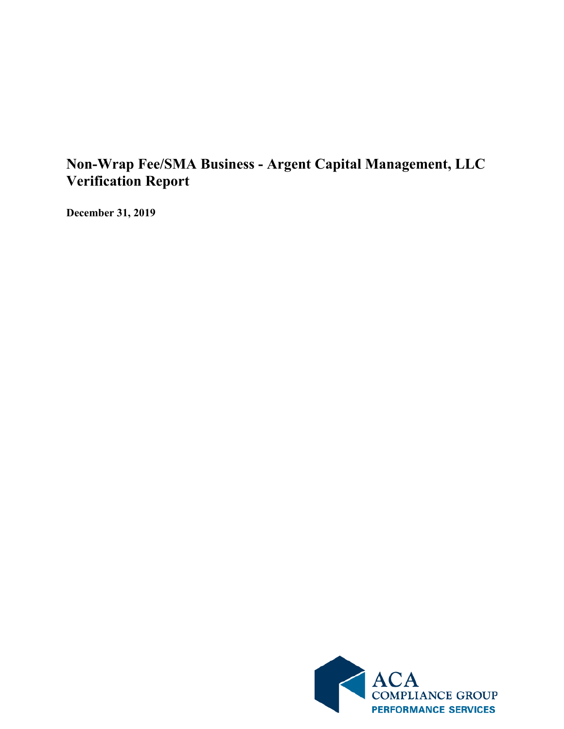## **Non-Wrap Fee/SMA Business - Argent Capital Management, LLC Verification Report**

**December 31, 2019**